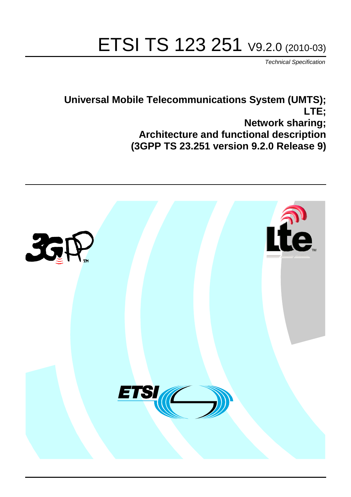# ETSI TS 123 251 V9.2.0 (2010-03)

*Technical Specification*

**Universal Mobile Telecommunications System (UMTS); LTE; Network sharing; Architecture and functional description (3GPP TS 23.251 version 9.2.0 Release 9)**

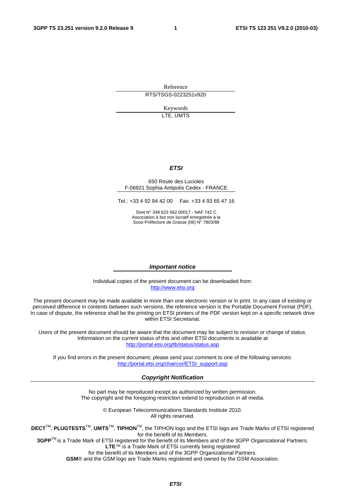Reference RTS/TSGS-0223251v920

> Keywords LTE, UMTS

#### *ETSI*

#### 650 Route des Lucioles F-06921 Sophia Antipolis Cedex - FRANCE

Tel.: +33 4 92 94 42 00 Fax: +33 4 93 65 47 16

Siret N° 348 623 562 00017 - NAF 742 C Association à but non lucratif enregistrée à la Sous-Préfecture de Grasse (06) N° 7803/88

#### *Important notice*

Individual copies of the present document can be downloaded from: [http://www.etsi.org](http://www.etsi.org/)

The present document may be made available in more than one electronic version or in print. In any case of existing or perceived difference in contents between such versions, the reference version is the Portable Document Format (PDF). In case of dispute, the reference shall be the printing on ETSI printers of the PDF version kept on a specific network drive within ETSI Secretariat.

Users of the present document should be aware that the document may be subject to revision or change of status. Information on the current status of this and other ETSI documents is available at <http://portal.etsi.org/tb/status/status.asp>

If you find errors in the present document, please send your comment to one of the following services: [http://portal.etsi.org/chaircor/ETSI\\_support.asp](http://portal.etsi.org/chaircor/ETSI_support.asp)

#### *Copyright Notification*

No part may be reproduced except as authorized by written permission. The copyright and the foregoing restriction extend to reproduction in all media.

> © European Telecommunications Standards Institute 2010. All rights reserved.

**DECT**TM, **PLUGTESTS**TM, **UMTS**TM, **TIPHON**TM, the TIPHON logo and the ETSI logo are Trade Marks of ETSI registered for the benefit of its Members.

**3GPP**TM is a Trade Mark of ETSI registered for the benefit of its Members and of the 3GPP Organizational Partners. **LTE**™ is a Trade Mark of ETSI currently being registered

for the benefit of its Members and of the 3GPP Organizational Partners.

**GSM**® and the GSM logo are Trade Marks registered and owned by the GSM Association.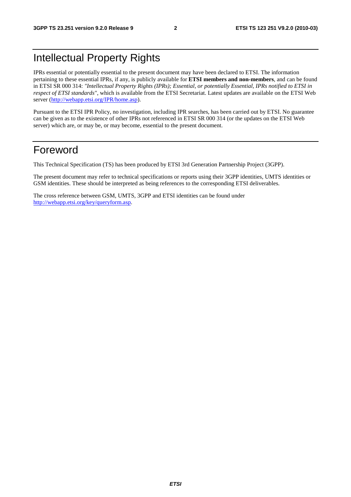# Intellectual Property Rights

IPRs essential or potentially essential to the present document may have been declared to ETSI. The information pertaining to these essential IPRs, if any, is publicly available for **ETSI members and non-members**, and can be found in ETSI SR 000 314: *"Intellectual Property Rights (IPRs); Essential, or potentially Essential, IPRs notified to ETSI in respect of ETSI standards"*, which is available from the ETSI Secretariat. Latest updates are available on the ETSI Web server [\(http://webapp.etsi.org/IPR/home.asp](http://webapp.etsi.org/IPR/home.asp)).

Pursuant to the ETSI IPR Policy, no investigation, including IPR searches, has been carried out by ETSI. No guarantee can be given as to the existence of other IPRs not referenced in ETSI SR 000 314 (or the updates on the ETSI Web server) which are, or may be, or may become, essential to the present document.

### Foreword

This Technical Specification (TS) has been produced by ETSI 3rd Generation Partnership Project (3GPP).

The present document may refer to technical specifications or reports using their 3GPP identities, UMTS identities or GSM identities. These should be interpreted as being references to the corresponding ETSI deliverables.

The cross reference between GSM, UMTS, 3GPP and ETSI identities can be found under <http://webapp.etsi.org/key/queryform.asp>.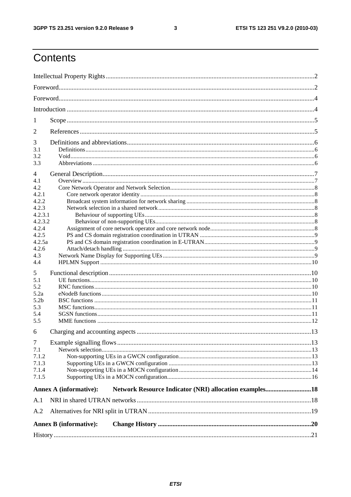#### $\mathbf{3}$

# Contents

| 1                  |                                                                                         |  |
|--------------------|-----------------------------------------------------------------------------------------|--|
| 2                  |                                                                                         |  |
| 3                  |                                                                                         |  |
| 3.1                |                                                                                         |  |
| 3.2                |                                                                                         |  |
| 3.3                |                                                                                         |  |
| 4                  |                                                                                         |  |
| 4.1                |                                                                                         |  |
| 4.2                |                                                                                         |  |
| 4.2.1              |                                                                                         |  |
| 4.2.2              |                                                                                         |  |
| 4.2.3              |                                                                                         |  |
| 4.2.3.1<br>4.2.3.2 |                                                                                         |  |
| 4.2.4              |                                                                                         |  |
| 4.2.5              |                                                                                         |  |
| 4.2.5a             |                                                                                         |  |
| 4.2.6              |                                                                                         |  |
| 4.3                |                                                                                         |  |
| 4.4                |                                                                                         |  |
| 5                  |                                                                                         |  |
| 5.1                |                                                                                         |  |
| 5.2                |                                                                                         |  |
| 5.2a               |                                                                                         |  |
| 5.2 <sub>b</sub>   |                                                                                         |  |
| 5.3                |                                                                                         |  |
| 5.4                |                                                                                         |  |
| 5.5                |                                                                                         |  |
| 6                  |                                                                                         |  |
| $\tau$             |                                                                                         |  |
| 7.1                |                                                                                         |  |
| 7.1.2              |                                                                                         |  |
| 7.1.3              |                                                                                         |  |
| 7.1.4              |                                                                                         |  |
| 7.1.5              |                                                                                         |  |
|                    | Network Resource Indicator (NRI) allocation examples18<br><b>Annex A (informative):</b> |  |
|                    |                                                                                         |  |
| A.1                |                                                                                         |  |
| A.2                |                                                                                         |  |
|                    | <b>Annex B</b> (informative):                                                           |  |
|                    |                                                                                         |  |
|                    |                                                                                         |  |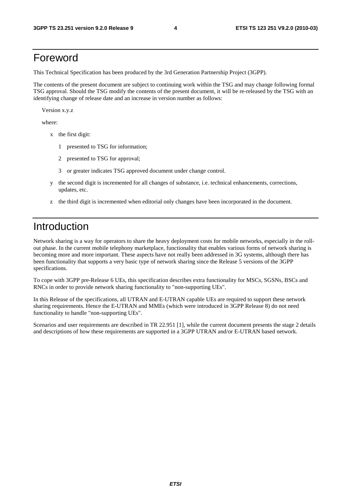# Foreword

This Technical Specification has been produced by the 3rd Generation Partnership Project (3GPP).

The contents of the present document are subject to continuing work within the TSG and may change following formal TSG approval. Should the TSG modify the contents of the present document, it will be re-released by the TSG with an identifying change of release date and an increase in version number as follows:

Version x.y.z

where:

- x the first digit:
	- 1 presented to TSG for information;
	- 2 presented to TSG for approval;
	- 3 or greater indicates TSG approved document under change control.
- y the second digit is incremented for all changes of substance, i.e. technical enhancements, corrections, updates, etc.
- z the third digit is incremented when editorial only changes have been incorporated in the document.

# Introduction

Network sharing is a way for operators to share the heavy deployment costs for mobile networks, especially in the rollout phase. In the current mobile telephony marketplace, functionality that enables various forms of network sharing is becoming more and more important. These aspects have not really been addressed in 3G systems, although there has been functionality that supports a very basic type of network sharing since the Release 5 versions of the 3GPP specifications.

To cope with 3GPP pre-Release 6 UEs, this specification describes extra functionality for MSCs, SGSNs, BSCs and RNCs in order to provide network sharing functionality to "non-supporting UEs".

In this Release of the specifications, all UTRAN and E-UTRAN capable UEs are required to support these network sharing requirements. Hence the E-UTRAN and MMEs (which were introduced in 3GPP Release 8) do not need functionality to handle "non-supporting UEs".

Scenarios and user requirements are described in TR 22.951 [1], while the current document presents the stage 2 details and descriptions of how these requirements are supported in a 3GPP UTRAN and/or E-UTRAN based network.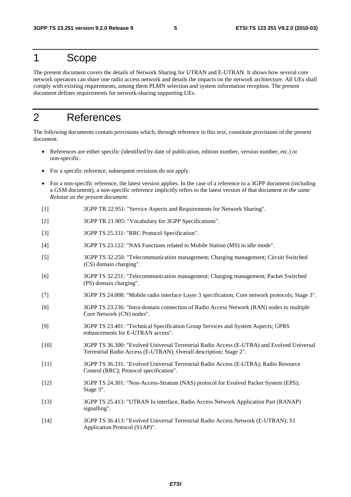### 1 Scope

The present document covers the details of Network Sharing for UTRAN and E-UTRAN. It shows how several core network operators can share one radio access network and details the impacts on the network architecture. All UEs shall comply with existing requirements, among them PLMN selection and system information reception. The present document defines requirements for network-sharing supporting UEs.

### 2 References

The following documents contain provisions which, through reference in this text, constitute provisions of the present document.

- References are either specific (identified by date of publication, edition number, version number, etc.) or non-specific.
- For a specific reference, subsequent revisions do not apply.
- For a non-specific reference, the latest version applies. In the case of a reference to a 3GPP document (including a GSM document), a non-specific reference implicitly refers to the latest version of that document *in the same Release as the present document*.
- [1] 3GPP TR 22.951: "Service Aspects and Requirements for Network Sharing".
- [2] 3GPP TR 21.905: "Vocabulary for 3GPP Specifications".
- [3] 3GPP TS 25.331: "RRC Protocol Specification".
- [4] 3GPP TS 23.122: "NAS Functions related to Mobile Station (MS) in idle mode".
- [5] 3GPP TS 32.250: "Telecommunication management; Charging management; Circuit Switched (CS) domain charging".
- [6] 3GPP TS 32.251: "Telecommunication management; Charging management; Packet Switched (PS) domain charging".
- [7] 3GPP TS 24.008: "Mobile radio interface Layer 3 specification; Core network protocols; Stage 3".
- [8] 3GPP TS 23.236: "Intra-domain connection of Radio Access Network (RAN) nodes to multiple Core Network (CN) nodes".
- [9] 3GPP TS 23.401: "Technical Specification Group Services and System Aspects; GPRS enhancements for E-UTRAN access".
- [10] 3GPP TS 36.300: "Evolved Universal Terrestrial Radio Access (E-UTRA) and Evolved Universal Terrestrial Radio Access (E-UTRAN); Overall description; Stage 2".
- [11] 3GPP TS 36.331: "Evolved Universal Terrestrial Radio Access (E-UTRA); Radio Resource Control (RRC); Protocol specification".
- [12] 3GPP TS 24.301: "Non-Access-Stratum (NAS) protocol for Evolved Packet System (EPS); Stage 3".
- [13] 3GPP TS 25.413: "UTRAN Iu interface, Radio Access Network Application Part (RANAP) signalling".
- [14] 3GPP TS 36.413: "Evolved Universal Terrestrial Radio Access Network (E-UTRAN); S1 Application Protocol (S1AP)".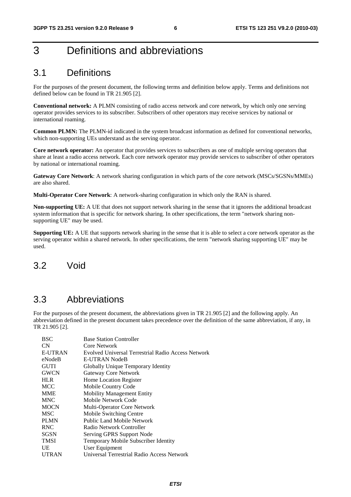# 3 Definitions and abbreviations

### 3.1 Definitions

For the purposes of the present document, the following terms and definition below apply. Terms and definitions not defined below can be found in TR 21.905 [2].

**Conventional network:** A PLMN consisting of radio access network and core network, by which only one serving operator provides services to its subscriber. Subscribers of other operators may receive services by national or international roaming.

**Common PLMN:** The PLMN-id indicated in the system broadcast information as defined for conventional networks, which non-supporting UEs understand as the serving operator.

**Core network operator:** An operator that provides services to subscribers as one of multiple serving operators that share at least a radio access network. Each core network operator may provide services to subscriber of other operators by national or international roaming.

**Gateway Core Network**: A network sharing configuration in which parts of the core network (MSCs/SGSNs/MMEs) are also shared.

**Multi-Operator Core Network**: A network-sharing configuration in which only the RAN is shared.

**Non-supporting UE:** A UE that does not support network sharing in the sense that it ignores the additional broadcast system information that is specific for network sharing. In other specifications, the term "network sharing nonsupporting UE" may be used.

**Supporting UE:** A UE that supports network sharing in the sense that it is able to select a core network operator as the serving operator within a shared network. In other specifications, the term "network sharing supporting UE" may be used.

### 3.2 Void

### 3.3 Abbreviations

For the purposes of the present document, the abbreviations given in TR 21.905 [2] and the following apply. An abbreviation defined in the present document takes precedence over the definition of the same abbreviation, if any, in TR 21.905 [2].

| <b>BSC</b>     | <b>Base Station Controller</b>                     |
|----------------|----------------------------------------------------|
| CN             | Core Network                                       |
| <b>E-UTRAN</b> | Evolved Universal Terrestrial Radio Access Network |
| eNodeB         | E-UTRAN NodeB                                      |
| <b>GUTI</b>    | Globally Unique Temporary Identity                 |
| <b>GWCN</b>    | <b>Gateway Core Network</b>                        |
| <b>HLR</b>     | Home Location Register                             |
| <b>MCC</b>     | Mobile Country Code                                |
| <b>MME</b>     | <b>Mobility Management Entity</b>                  |
| <b>MNC</b>     | Mobile Network Code                                |
| <b>MOCN</b>    | Multi-Operator Core Network                        |
| <b>MSC</b>     | Mobile Switching Centre                            |
| <b>PLMN</b>    | Public Land Mobile Network                         |
| <b>RNC</b>     | Radio Network Controller                           |
| <b>SGSN</b>    | Serving GPRS Support Node                          |
| <b>TMSI</b>    | Temporary Mobile Subscriber Identity               |
| UE             | User Equipment                                     |
| <b>UTRAN</b>   | Universal Terrestrial Radio Access Network         |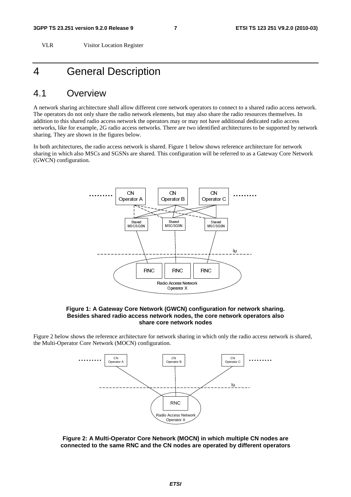VLR Visitor Location Register

### 4 General Description

#### 4.1 Overview

A network sharing architecture shall allow different core network operators to connect to a shared radio access network. The operators do not only share the radio network elements, but may also share the radio resources themselves. In addition to this shared radio access network the operators may or may not have additional dedicated radio access networks, like for example, 2G radio access networks. There are two identified architectures to be supported by network sharing. They are shown in the figures below.

In both architectures, the radio access network is shared. Figure 1 below shows reference architecture for network sharing in which also MSCs and SGSNs are shared. This configuration will be referred to as a Gateway Core Network (GWCN) configuration.



#### **Figure 1: A Gateway Core Network (GWCN) configuration for network sharing. Besides shared radio access network nodes, the core network operators also share core network nodes**

Figure 2 below shows the reference architecture for network sharing in which only the radio access network is shared, the Multi-Operator Core Network (MOCN) configuration.



**Figure 2: A Multi-Operator Core Network (MOCN) in which multiple CN nodes are connected to the same RNC and the CN nodes are operated by different operators**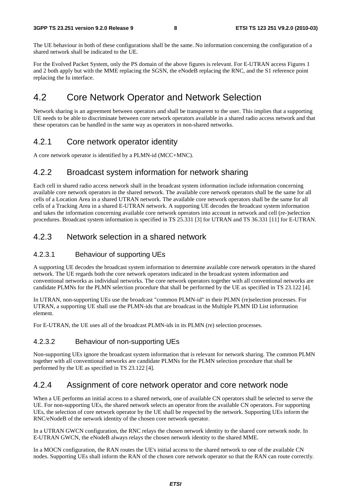The UE behaviour in both of these configurations shall be the same. No information concerning the configuration of a shared network shall be indicated to the UE.

For the Evolved Packet System, only the PS domain of the above figures is relevant. For E-UTRAN access Figures 1 and 2 both apply but with the MME replacing the SGSN, the eNodeB replacing the RNC, and the S1 reference point replacing the Iu interface.

### 4.2 Core Network Operator and Network Selection

Network sharing is an agreement between operators and shall be transparent to the user. This implies that a supporting UE needs to be able to discriminate between core network operators available in a shared radio access network and that these operators can be handled in the same way as operators in non-shared networks.

#### 4.2.1 Core network operator identity

A core network operator is identified by a PLMN-id (MCC+MNC).

#### 4.2.2 Broadcast system information for network sharing

Each cell in shared radio access network shall in the broadcast system information include information concerning available core network operators in the shared network. The available core network operators shall be the same for all cells of a Location Area in a shared UTRAN network. The available core network operators shall be the same for all cells of a Tracking Area in a shared E-UTRAN network. A supporting UE decodes the broadcast system information and takes the information concerning available core network operators into account in network and cell (re-)selection procedures. Broadcast system information is specified in TS 25.331 [3] for UTRAN and TS 36.331 [11] for E-UTRAN.

#### 4.2.3 Network selection in a shared network

#### 4.2.3.1 Behaviour of supporting UEs

A supporting UE decodes the broadcast system information to determine available core network operators in the shared network. The UE regards both the core network operators indicated in the broadcast system information and conventional networks as individual networks. The core network operators together with all conventional networks are candidate PLMNs for the PLMN selection procedure that shall be performed by the UE as specified in TS 23.122 [4].

In UTRAN, non-supporting UEs use the broadcast "common PLMN-id" in their PLMN (re)selection processes. For UTRAN, a supporting UE shall use the PLMN-ids that are broadcast in the Multiple PLMN ID List information element.

For E-UTRAN, the UE uses all of the broadcast PLMN-ids in its PLMN (re) selection processes.

#### 4.2.3.2 Behaviour of non-supporting UEs

Non-supporting UEs ignore the broadcast system information that is relevant for network sharing. The common PLMN together with all conventional networks are candidate PLMNs for the PLMN selection procedure that shall be performed by the UE as specified in TS 23.122 [4].

#### 4.2.4 Assignment of core network operator and core network node

When a UE performs an initial access to a shared network, one of available CN operators shall be selected to serve the UE. For non-supporting UEs, the shared network selects an operator from the available CN operators. For supporting UEs, the selection of core network operator by the UE shall be respected by the network. Supporting UEs inform the RNC/eNodeB of the network identity of the chosen core network operator.

In a UTRAN GWCN configuration, the RNC relays the chosen network identity to the shared core network node. In E-UTRAN GWCN, the eNodeB always relays the chosen network identity to the shared MME.

In a MOCN configuration, the RAN routes the UE's initial access to the shared network to one of the available CN nodes. Supporting UEs shall inform the RAN of the chosen core network operator so that the RAN can route correctly.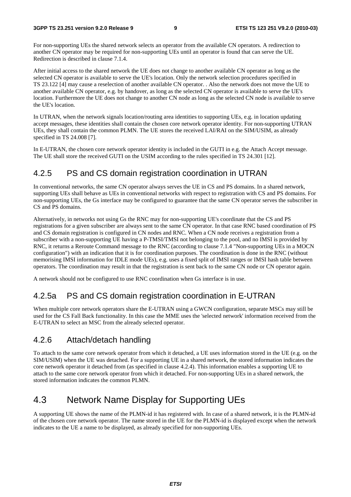For non-supporting UEs the shared network selects an operator from the available CN operators. A redirection to another CN operator may be required for non-supporting UEs until an operator is found that can serve the UE. Redirection is described in clause 7.1.4.

After initial access to the shared network the UE does not change to another available CN operator as long as the selected CN operator is available to serve the UE's location. Only the network selection procedures specified in TS 23.122 [4] may cause a reselection of another available CN operator. . Also the network does not move the UE to another available CN operator, e.g. by handover, as long as the selected CN operator is available to serve the UE's location. Furthermore the UE does not change to another CN node as long as the selected CN node is available to serve the UE's location.

In UTRAN, when the network signals location/routing area identities to supporting UEs, e.g. in location updating accept messages, these identities shall contain the chosen core network operator identity. For non-supporting UTRAN UEs, they shall contain the common PLMN. The UE stores the received LAI/RAI on the SIM/USIM, as already specified in TS 24.008 [7].

In E-UTRAN, the chosen core network operator identity is included in the GUTI in e.g. the Attach Accept message. The UE shall store the received GUTI on the USIM according to the rules specified in TS 24.301 [12].

#### 4.2.5 PS and CS domain registration coordination in UTRAN

In conventional networks, the same CN operator always serves the UE in CS and PS domains. In a shared network, supporting UEs shall behave as UEs in conventional networks with respect to registration with CS and PS domains. For non-supporting UEs, the Gs interface may be configured to guarantee that the same CN operator serves the subscriber in CS and PS domains.

Alternatively, in networks not using Gs the RNC may for non-supporting UE's coordinate that the CS and PS registrations for a given subscriber are always sent to the same CN operator. In that case RNC based coordination of PS and CS domain registration is configured in CN nodes and RNC. When a CN node receives a registration from a subscriber with a non-supporting UE having a P-TMSI/TMSI not belonging to the pool, and no IMSI is provided by RNC, it returns a Reroute Command message to the RNC (according to clause 7.1.4 "Non-supporting UEs in a MOCN configuration") with an indication that it is for coordination purposes. The coordination is done in the RNC (without memorising IMSI information for IDLE mode UEs), e.g. uses a fixed split of IMSI ranges or IMSI hash table between operators. The coordination may result in that the registration is sent back to the same CN node or CN operator again.

A network should not be configured to use RNC coordination when Gs interface is in use.

#### 4.2.5a PS and CS domain registration coordination in E-UTRAN

When multiple core network operators share the E-UTRAN using a GWCN configuration, separate MSCs may still be used for the CS Fall Back functionality. In this case the MME uses the 'selected network' information received from the E-UTRAN to select an MSC from the already selected operator.

#### 4.2.6 Attach/detach handling

To attach to the same core network operator from which it detached, a UE uses information stored in the UE (e.g. on the SIM/USIM) when the UE was detached. For a supporting UE in a shared network, the stored information indicates the core network operator it detached from (as specified in clause 4.2.4). This information enables a supporting UE to attach to the same core network operator from which it detached. For non-supporting UEs in a shared network, the stored information indicates the common PLMN.

### 4.3 Network Name Display for Supporting UEs

A supporting UE shows the name of the PLMN-id it has registered with. In case of a shared network, it is the PLMN-id of the chosen core network operator. The name stored in the UE for the PLMN-id is displayed except when the network indicates to the UE a name to be displayed, as already specified for non-supporting UEs.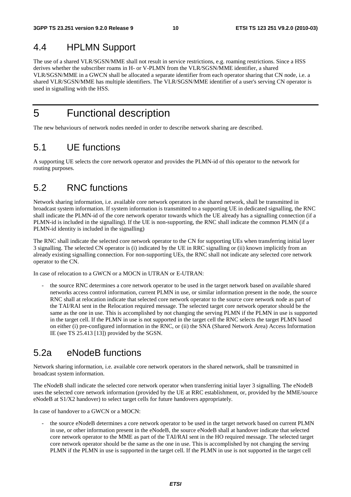# 4.4 HPLMN Support

The use of a shared VLR/SGSN/MME shall not result in service restrictions, e.g. roaming restrictions. Since a HSS derives whether the subscriber roams in H- or V-PLMN from the VLR/SGSN/MME identifier, a shared VLR/SGSN/MME in a GWCN shall be allocated a separate identifier from each operator sharing that CN node, i.e. a shared VLR/SGSN/MME has multiple identifiers. The VLR/SGSN/MME identifier of a user's serving CN operator is used in signalling with the HSS.

5 Functional description

The new behaviours of network nodes needed in order to describe network sharing are described.

### 5.1 UE functions

A supporting UE selects the core network operator and provides the PLMN-id of this operator to the network for routing purposes.

### 5.2 RNC functions

Network sharing information, i.e. available core network operators in the shared network, shall be transmitted in broadcast system information. If system information is transmitted to a supporting UE in dedicated signalling, the RNC shall indicate the PLMN-id of the core network operator towards which the UE already has a signalling connection (if a PLMN-id is included in the signalling). If the UE is non-supporting, the RNC shall indicate the common PLMN (if a PLMN-id identity is included in the signalling)

The RNC shall indicate the selected core network operator to the CN for supporting UEs when transferring initial layer 3 signalling. The selected CN operator is (i) indicated by the UE in RRC signalling or (ii) known implicitly from an already existing signalling connection. For non-supporting UEs, the RNC shall not indicate any selected core network operator to the CN.

In case of relocation to a GWCN or a MOCN in UTRAN or E-UTRAN:

- the source RNC determines a core network operator to be used in the target network based on available shared networks access control information, current PLMN in use, or similar information present in the node, the source RNC shall at relocation indicate that selected core network operator to the source core network node as part of the TAI/RAI sent in the Relocation required message. The selected target core network operator should be the same as the one in use. This is accomplished by not changing the serving PLMN if the PLMN in use is supported in the target cell. If the PLMN in use is not supported in the target cell the RNC selects the target PLMN based on either (i) pre-configured information in the RNC, or (ii) the SNA (Shared Network Area) Access Information IE (see TS 25.413 [13]) provided by the SGSN.

### 5.2a eNodeB functions

Network sharing information, i.e. available core network operators in the shared network, shall be transmitted in broadcast system information.

The eNodeB shall indicate the selected core network operator when transferring initial layer 3 signalling. The eNodeB uses the selected core network information (provided by the UE at RRC establishment, or, provided by the MME/source eNodeB at S1/X2 handover) to select target cells for future handovers appropriately.

In case of handover to a GWCN or a MOCN:

the source eNodeB determines a core network operator to be used in the target network based on current PLMN in use, or other information present in the eNodeB, the source eNodeB shall at handover indicate that selected core network operator to the MME as part of the TAI/RAI sent in the HO required message. The selected target core network operator should be the same as the one in use. This is accomplished by not changing the serving PLMN if the PLMN in use is supported in the target cell. If the PLMN in use is not supported in the target cell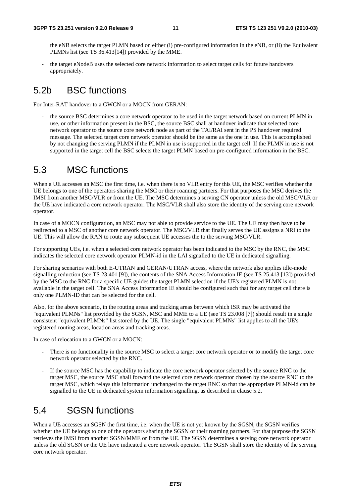the eNB selects the target PLMN based on either (i) pre-configured information in the eNB, or (ii) the Equivalent PLMNs list (see TS 36.413[14]) provided by the MME.

the target eNodeB uses the selected core network information to select target cells for future handovers appropriately.

### 5.2b BSC functions

For Inter-RAT handover to a GWCN or a MOCN from GERAN:

the source BSC determines a core network operator to be used in the target network based on current PLMN in use, or other information present in the BSC, the source BSC shall at handover indicate that selected core network operator to the source core network node as part of the TAI/RAI sent in the PS handover required message. The selected target core network operator should be the same as the one in use. This is accomplished by not changing the serving PLMN if the PLMN in use is supported in the target cell. If the PLMN in use is not supported in the target cell the BSC selects the target PLMN based on pre-configured information in the BSC.

### 5.3 MSC functions

When a UE accesses an MSC the first time, i.e. when there is no VLR entry for this UE, the MSC verifies whether the UE belongs to one of the operators sharing the MSC or their roaming partners. For that purposes the MSC derives the IMSI from another MSC/VLR or from the UE. The MSC determines a serving CN operator unless the old MSC/VLR or the UE have indicated a core network operator. The MSC/VLR shall also store the identity of the serving core network operator.

In case of a MOCN configuration, an MSC may not able to provide service to the UE. The UE may then have to be redirected to a MSC of another core network operator. The MSC/VLR that finally serves the UE assigns a NRI to the UE. This will allow the RAN to route any subsequent UE accesses the to the serving MSC/VLR.

For supporting UEs, i.e. when a selected core network operator has been indicated to the MSC by the RNC, the MSC indicates the selected core network operator PLMN-id in the LAI signalled to the UE in dedicated signalling.

For sharing scenarios with both E-UTRAN and GERAN/UTRAN access, where the network also applies idle-mode signalling reduction (see TS 23.401 [9]), the contents of the SNA Access Information IE (see TS 25.413 [13]) provided by the MSC to the RNC for a specific UE guides the target PLMN selection if the UE's registered PLMN is not available in the target cell. The SNA Access Information IE should be configured such that for any target cell there is only one PLMN-ID that can be selected for the cell.

Also, for the above scenario, in the routing areas and tracking areas between which ISR may be activated the "equivalent PLMNs" list provided by the SGSN, MSC and MME to a UE (see TS 23.008 [7]) should result in a single consistent "equivalent PLMNs" list stored by the UE. The single "equivalent PLMNs" list applies to all the UE's registered routing areas, location areas and tracking areas.

In case of relocation to a GWCN or a MOCN:

- There is no functionality in the source MSC to select a target core network operator or to modify the target core network operator selected by the RNC.
- If the source MSC has the capability to indicate the core network operator selected by the source RNC to the target MSC, the source MSC shall forward the selected core network operator chosen by the source RNC to the target MSC, which relays this information unchanged to the target RNC so that the appropriate PLMN-id can be signalled to the UE in dedicated system information signalling, as described in clause 5.2.

### 5.4 SGSN functions

When a UE accesses an SGSN the first time, i.e. when the UE is not yet known by the SGSN, the SGSN verifies whether the UE belongs to one of the operators sharing the SGSN or their roaming partners. For that purpose the SGSN retrieves the IMSI from another SGSN/MME or from the UE. The SGSN determines a serving core network operator unless the old SGSN or the UE have indicated a core network operator. The SGSN shall store the identity of the serving core network operator.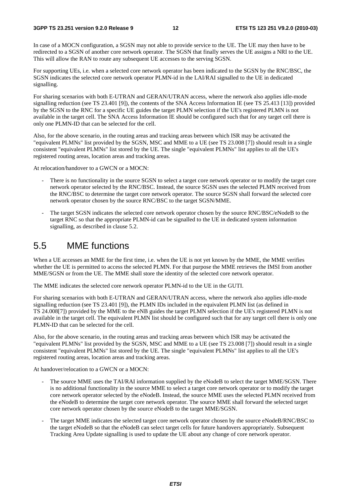In case of a MOCN configuration, a SGSN may not able to provide service to the UE. The UE may then have to be redirected to a SGSN of another core network operator. The SGSN that finally serves the UE assigns a NRI to the UE. This will allow the RAN to route any subsequent UE accesses to the serving SGSN.

For supporting UEs, i.e. when a selected core network operator has been indicated to the SGSN by the RNC/BSC, the SGSN indicates the selected core network operator PLMN-id in the LAI/RAI signalled to the UE in dedicated signalling.

For sharing scenarios with both E-UTRAN and GERAN/UTRAN access, where the network also applies idle-mode signalling reduction (see TS 23.401 [9]), the contents of the SNA Access Information IE (see TS 25.413 [13]) provided by the SGSN to the RNC for a specific UE guides the target PLMN selection if the UE's registered PLMN is not available in the target cell. The SNA Access Information IE should be configured such that for any target cell there is only one PLMN-ID that can be selected for the cell.

Also, for the above scenario, in the routing areas and tracking areas between which ISR may be activated the "equivalent PLMNs" list provided by the SGSN, MSC and MME to a UE (see TS 23.008 [7]) should result in a single consistent "equivalent PLMNs" list stored by the UE. The single "equivalent PLMNs" list applies to all the UE's registered routing areas, location areas and tracking areas.

At relocation/handover to a GWCN or a MOCN:

- There is no functionality in the source SGSN to select a target core network operator or to modify the target core network operator selected by the RNC/BSC. Instead, the source SGSN uses the selected PLMN received from the RNC/BSC to determine the target core network operator. The source SGSN shall forward the selected core network operator chosen by the source RNC/BSC to the target SGSN/MME.
- The target SGSN indicates the selected core network operator chosen by the source RNC/BSC/eNodeB to the target RNC so that the appropriate PLMN-id can be signalled to the UE in dedicated system information signalling, as described in clause 5.2.

### 5.5 MME functions

When a UE accesses an MME for the first time, i.e. when the UE is not yet known by the MME, the MME verifies whether the UE is permitted to access the selected PLMN. For that purpose the MME retrieves the IMSI from another MME/SGSN or from the UE. The MME shall store the identity of the selected core network operator.

The MME indicates the selected core network operator PLMN-id to the UE in the GUTI.

For sharing scenarios with both E-UTRAN and GERAN/UTRAN access, where the network also applies idle-mode signalling reduction (see TS 23.401 [9]), the PLMN IDs included in the equivalent PLMN list (as defined in TS 24.008[7]) provided by the MME to the eNB guides the target PLMN selection if the UE's registered PLMN is not available in the target cell. The equivalent PLMN list should be configured such that for any target cell there is only one PLMN-ID that can be selected for the cell.

Also, for the above scenario, in the routing areas and tracking areas between which ISR may be activated the "equivalent PLMNs" list provided by the SGSN, MSC and MME to a UE (see TS 23.008 [7]) should result in a single consistent "equivalent PLMNs" list stored by the UE. The single "equivalent PLMNs" list applies to all the UE's registered routing areas, location areas and tracking areas.

At handover/relocation to a GWCN or a MOCN:

- The source MME uses the TAI/RAI information supplied by the eNodeB to select the target MME/SGSN. There is no additional functionality in the source MME to select a target core network operator or to modify the target core network operator selected by the eNodeB. Instead, the source MME uses the selected PLMN received from the eNodeB to determine the target core network operator. The source MME shall forward the selected target core network operator chosen by the source eNodeB to the target MME/SGSN.
- The target MME indicates the selected target core network operator chosen by the source eNodeB/RNC/BSC to the target eNodeB so that the eNodeB can select target cells for future handovers appropriately. Subsequent Tracking Area Update signalling is used to update the UE about any change of core network operator.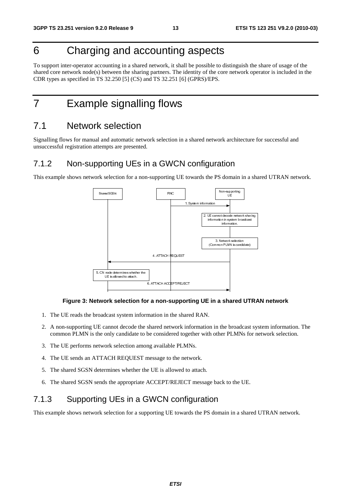# 6 Charging and accounting aspects

To support inter-operator accounting in a shared network, it shall be possible to distinguish the share of usage of the shared core network node(s) between the sharing partners. The identity of the core network operator is included in the CDR types as specified in TS 32.250 [5] (CS) and TS 32.251 [6] (GPRS)/EPS.

# 7 Example signalling flows

#### 7.1 Network selection

Signalling flows for manual and automatic network selection in a shared network architecture for successful and unsuccessful registration attempts are presented.

#### 7.1.2 Non-supporting UEs in a GWCN configuration

This example shows network selection for a non-supporting UE towards the PS domain in a shared UTRAN network.



#### **Figure 3: Network selection for a non-supporting UE in a shared UTRAN network**

- 1. The UE reads the broadcast system information in the shared RAN.
- 2. A non-supporting UE cannot decode the shared network information in the broadcast system information. The common PLMN is the only candidate to be considered together with other PLMNs for network selection.
- 3. The UE performs network selection among available PLMNs.
- 4. The UE sends an ATTACH REQUEST message to the network.
- 5. The shared SGSN determines whether the UE is allowed to attach.
- 6. The shared SGSN sends the appropriate ACCEPT/REJECT message back to the UE.

#### 7.1.3 Supporting UEs in a GWCN configuration

This example shows network selection for a supporting UE towards the PS domain in a shared UTRAN network.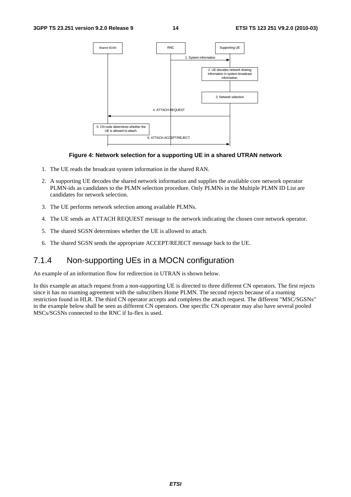

#### **Figure 4: Network selection for a supporting UE in a shared UTRAN network**

- 1. The UE reads the broadcast system information in the shared RAN.
- 2. A supporting UE decodes the shared network information and supplies the available core network operator PLMN-ids as candidates to the PLMN selection procedure. Only PLMNs in the Multiple PLMN ID List are candidates for network selection.
- 3. The UE performs network selection among available PLMNs.
- 4. The UE sends an ATTACH REQUEST message to the network indicating the chosen core network operator.
- 5. The shared SGSN determines whether the UE is allowed to attach.
- 6. The shared SGSN sends the appropriate ACCEPT/REJECT message back to the UE.

#### 7.1.4 Non-supporting UEs in a MOCN configuration

An example of an information flow for redirection in UTRAN is shown below.

In this example an attach request from a non-supporting UE is directed to three different CN operators. The first rejects since it has no roaming agreement with the subscribers Home PLMN. The second rejects because of a roaming restriction found in HLR. The third CN operator accepts and completes the attach request. The different "MSC/SGSNs" in the example below shall be seen as different CN operators. One specific CN operator may also have several pooled MSCs/SGSNs connected to the RNC if Iu-flex is used.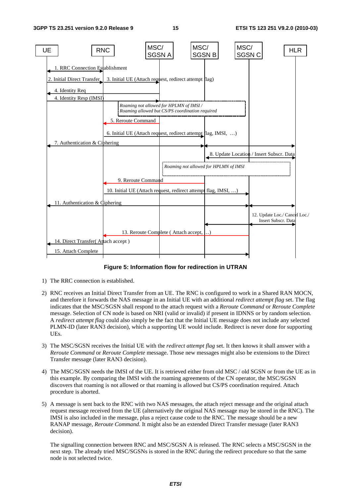

#### **Figure 5: Information flow for redirection in UTRAN**

- 1) The RRC connection is established.
- 2) RNC receives an Initial Direct Transfer from an UE. The RNC is configured to work in a Shared RAN MOCN, and therefore it forwards the NAS message in an Initial UE with an additional *redirect attempt flag* set. The flag indicates that the MSC/SGSN shall respond to the attach request with a *Reroute Command* or *Reroute Complete* message. Selection of CN node is based on NRI (valid or invalid) if present in IDNNS or by random selection. A *redirect attempt flag* could also simply be the fact that the Initial UE message does not include any selected PLMN-ID (later RAN3 decision), which a supporting UE would include. Redirect is never done for supporting UEs.
- 3) The MSC/SGSN receives the Initial UE with the *redirect attempt flag* set. It then knows it shall answer with a *Reroute Command* or *Reroute Complete* message. Those new messages might also be extensions to the Direct Transfer message (later RAN3 decision).
- 4) The MSC/SGSN needs the IMSI of the UE. It is retrieved either from old MSC / old SGSN or from the UE as in this example. By comparing the IMSI with the roaming agreements of the CN operator, the MSC/SGSN discovers that roaming is not allowed or that roaming is allowed but CS/PS coordination required. Attach procedure is aborted.
- 5) A message is sent back to the RNC with two NAS messages, the attach reject message and the original attach request message received from the UE (alternatively the original NAS message may be stored in the RNC). The IMSI is also included in the message, plus a reject cause code to the RNC. The message should be a new RANAP message, *Reroute Command.* It might also be an extended Direct Transfer message (later RAN3 decision).

The signalling connection between RNC and MSC/SGSN A is released. The RNC selects a MSC/SGSN in the next step. The already tried MSC/SGSNs is stored in the RNC during the redirect procedure so that the same node is not selected twice.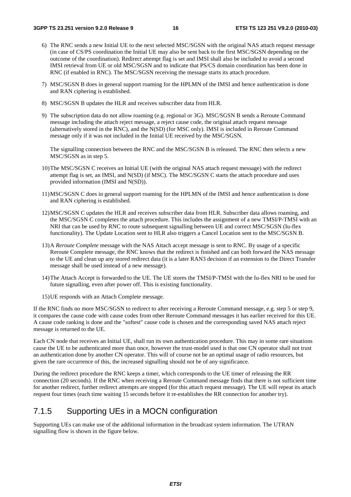- 6) The RNC sends a new Initial UE to the next selected MSC/SGSN with the original NAS attach request message (in case of CS/PS coordination the Initial UE may also be sent back to the first MSC/SGSN depending on the outcome of the coordination). Redirect attempt flag is set and IMSI shall also be included to avoid a second IMSI retrieval from UE or old MSC/SGSN and to indicate that PS/CS domain coordination has been done in RNC (if enabled in RNC). The MSC/SGSN receiving the message starts its attach procedure.
- 7) MSC/SGSN B does in general support roaming for the HPLMN of the IMSI and hence authentication is done and RAN ciphering is established.
- 8) MSC/SGSN B updates the HLR and receives subscriber data from HLR.
- 9) The subscription data do not allow roaming (e.g. regional or 3G). MSC/SGSN B sends a Reroute Command message including the attach reject message, a reject cause code, the original attach request message (alternatively stored in the RNC), and the N(SD) (for MSC only). IMSI is included in Reroute Command message only if it was not included in the Initial UE received by the MSC/SGSN.

The signalling connection between the RNC and the MSC/SGSN B is released. The RNC then selects a new MSC/SGSN as in step 5.

- 10) The MSC/SGSN C receives an Initial UE (with the original NAS attach request message) with the redirect attempt flag is set, an IMSI, and N(SD) (if MSC). The MSC/SGSN C starts the attach procedure and uses provided information (IMSI and N(SD)).
- 11) MSC/SGSN C does in general support roaming for the HPLMN of the IMSI and hence authentication is done and RAN ciphering is established.
- 12) MSC/SGSN C updates the HLR and receives subscriber data from HLR. Subscriber data allows roaming, and the MSC/SGSN C completes the attach procedure. This includes the assignment of a new TMSI/P-TMSI with an NRI that can be used by RNC to route subsequent signalling between UE and correct MSC/SGSN (Iu-flex functionality). The Update Location sent to HLR also triggers a Cancel Location sent to the MSC/SGSN B.
- 13) A *Reroute Complete* message with the NAS Attach accept message is sent to RNC. By usage of a specific Reroute Complete message, the RNC knows that the redirect is finished and can both forward the NAS message to the UE and clean up any stored redirect data (it is a later RAN3 decision if an extension to the Direct Transfer message shall be used instead of a new message).
- 14) The Attach Accept is forwarded to the UE. The UE stores the TMSI/P-TMSI with the Iu-flex NRI to be used for future signalling, even after power off. This is existing functionality.
- 15) UE responds with an Attach Complete message.

If the RNC finds no more MSC/SGSN to redirect to after receiving a Reroute Command message, e.g. step 5 or step 9, it compares the cause code with cause codes from other Reroute Command messages it has earlier received for this UE. A cause code ranking is done and the "softest" cause code is chosen and the corresponding saved NAS attach reject message is returned to the UE.

Each CN node that receives an Initial UE, shall run its own authentication procedure. This may in some rare situations cause the UE to be authenticated more than once, however the trust-model used is that one CN operator shall not trust an authentication done by another CN operator. This will of course not be an optimal usage of radio resources, but given the rare occurrence of this, the increased signalling should not be of any significance.

During the redirect procedure the RNC keeps a timer, which corresponds to the UE timer of releasing the RR connection (20 seconds). If the RNC when receiving a Reroute Command message finds that there is not sufficient time for another redirect, further redirect attempts are stopped (for this attach request message). The UE will repeat its attach request four times (each time waiting 15 seconds before it re-establishes the RR connection for another try).

#### 7.1.5 Supporting UEs in a MOCN configuration

Supporting UEs can make use of the additional information in the broadcast system information. The UTRAN signalling flow is shown in the figure below.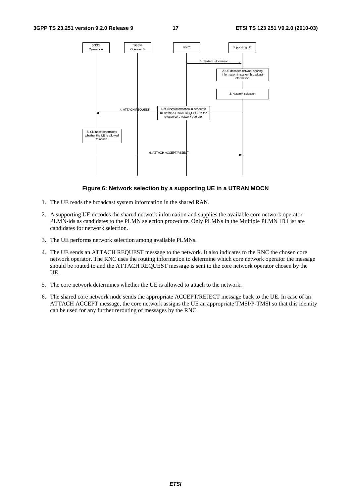

#### **Figure 6: Network selection by a supporting UE in a UTRAN MOCN**

- 1. The UE reads the broadcast system information in the shared RAN.
- 2. A supporting UE decodes the shared network information and supplies the available core network operator PLMN-ids as candidates to the PLMN selection procedure. Only PLMNs in the Multiple PLMN ID List are candidates for network selection.
- 3. The UE performs network selection among available PLMNs.
- 4. The UE sends an ATTACH REQUEST message to the network. It also indicates to the RNC the chosen core network operator. The RNC uses the routing information to determine which core network operator the message should be routed to and the ATTACH REQUEST message is sent to the core network operator chosen by the UE.
- 5. The core network determines whether the UE is allowed to attach to the network.
- 6. The shared core network node sends the appropriate ACCEPT/REJECT message back to the UE. In case of an ATTACH ACCEPT message, the core network assigns the UE an appropriate TMSI/P-TMSI so that this identity can be used for any further rerouting of messages by the RNC.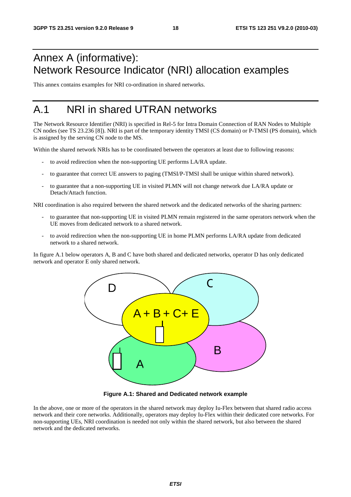# Annex A (informative): Network Resource Indicator (NRI) allocation examples

This annex contains examples for NRI co-ordination in shared networks.

# A.1 NRI in shared UTRAN networks

The Network Resource Identifier (NRI) is specified in Rel-5 for Intra Domain Connection of RAN Nodes to Multiple CN nodes (see TS 23.236 [8]). NRI is part of the temporary identity TMSI (CS domain) or P-TMSI (PS domain), which is assigned by the serving CN node to the MS.

Within the shared network NRIs has to be coordinated between the operators at least due to following reasons:

- to avoid redirection when the non-supporting UE performs LA/RA update.
- to guarantee that correct UE answers to paging (TMSI/P-TMSI shall be unique within shared network).
- to guarantee that a non-supporting UE in visited PLMN will not change network due LA/RA update or Detach/Attach function.

NRI coordination is also required between the shared network and the dedicated networks of the sharing partners:

- to guarantee that non-supporting UE in visited PLMN remain registered in the same operators network when the UE moves from dedicated network to a shared network.
- to avoid redirection when the non-supporting UE in home PLMN performs LA/RA update from dedicated network to a shared network.

In figure A.1 below operators A, B and C have both shared and dedicated networks, operator D has only dedicated network and operator E only shared network.



**Figure A.1: Shared and Dedicated network example** 

In the above, one or more of the operators in the shared network may deploy Iu-Flex between that shared radio access network and their core networks. Additionally, operators may deploy Iu-Flex within their dedicated core networks. For non-supporting UEs, NRI coordination is needed not only within the shared network, but also between the shared network and the dedicated networks.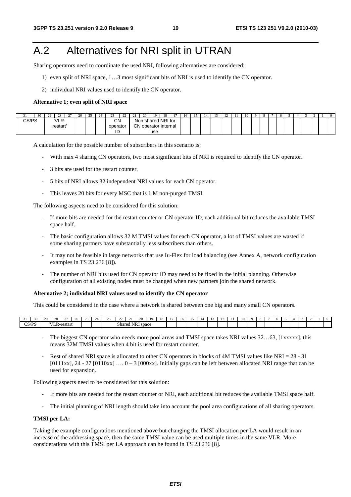# A.2 Alternatives for NRI split in UTRAN

Sharing operators need to coordinate the used NRI, following alternatives are considered:

- 1) even split of NRI space, 1…3 most significant bits of NRI is used to identify the CN operator.
- 2) individual NRI values used to identify the CN operator.

#### **Alternative 1; even split of NRI space**

| -     | 30 | $\Omega$<br>د ڪ | $\sim$<br>-48                 | $\sim$ | $\Delta$<br>$\angle 0$ | $\Delta \epsilon$<br>- | $\sim$ | $\sim$<br>--          | $\sim$<br>∠∠ | $^{\sim}$ | 20 | 19                                      | 1 O<br>-10 | $\sim$ | 16 |  | $\overline{ }$ | . . | 10 |  |  |  |  |  |
|-------|----|-----------------|-------------------------------|--------|------------------------|------------------------|--------|-----------------------|--------------|-----------|----|-----------------------------------------|------------|--------|----|--|----------------|-----|----|--|--|--|--|--|
| CS/PS |    |                 | 'VLR-<br>restart <sup>®</sup> |        |                        |                        |        | <b>CN</b><br>operator |              | CΝ        |    | Non shared NRI for<br>operator internal |            |        |    |  |                |     |    |  |  |  |  |  |
|       |    |                 |                               |        |                        |                        |        | ID                    |              | ັບເ       |    | use.                                    |            |        |    |  |                |     |    |  |  |  |  |  |

A calculation for the possible number of subscribers in this scenario is:

- With max 4 sharing CN operators, two most significant bits of NRI is required to identify the CN operator.
- 3 bits are used for the restart counter.
- 5 bits of NRI allows 32 independent NRI values for each CN operator.
- This leaves 20 bits for every MSC that is 1 M non-purged TMSI.

The following aspects need to be considered for this solution:

- If more bits are needed for the restart counter or CN operator ID, each additional bit reduces the available TMSI space half.
- The basic configuration allows 32 M TMSI values for each CN operator, a lot of TMSI values are wasted if some sharing partners have substantially less subscribers than others.
- It may not be feasible in large networks that use Iu-Flex for load balancing (see Annex A, network configuration examples in TS 23.236 [8]).
- The number of NRI bits used for CN operator ID may need to be fixed in the initial planning. Otherwise configuration of all existing nodes must be changed when new partners join the shared network.

#### **Alternative 2; individual NRI values used to identify the CN operator**

This could be considered in the case where a network is shared between one big and many small CN operators.

| 30<br>- - | $\sim$ |                         | -       | 26 | -- | $\sim$ | -- | -                                        | -- | ZU. | 10 |  | -10 | <br>- 12 | $\sim$<br>$\frac{1}{2}$ |  | $\cdots$ |  |  |  |  |  |
|-----------|--------|-------------------------|---------|----|----|--------|----|------------------------------------------|----|-----|----|--|-----|----------|-------------------------|--|----------|--|--|--|--|--|
| CS/PS     |        | 17.77.72<br><br>. K - 1 | ™estarı |    |    |        |    | $\sim$ $\sim$<br>NR I<br>shared<br>space |    |     |    |  |     |          |                         |  |          |  |  |  |  |  |

- The biggest CN operator who needs more pool areas and TMSI space takes NRI values 32…63, [1xxxxx], this means 32M TMSI values when 4 bit is used for restart counter.
- Rest of shared NRI space is allocated to other CN operators in blocks of 4M TMSI values like NRI = 28 31  $[0111xx]$ , 24 - 27  $[0110xx]$  ...  $0-3$   $[000xx]$ . Initially gaps can be left between allocated NRI range that can be used for expansion.

Following aspects need to be considered for this solution:

- If more bits are needed for the restart counter or NRI, each additional bit reduces the available TMSI space half.
- The initial planning of NRI length should take into account the pool area configurations of all sharing operators.

#### **TMSI per LA:**

Taking the example configurations mentioned above but changing the TMSI allocation per LA would result in an increase of the addressing space, then the same TMSI value can be used multiple times in the same VLR. More considerations with this TMSI per LA approach can be found in TS 23.236 [8].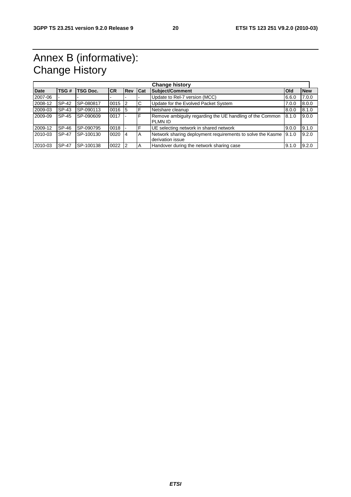# Annex B (informative): Change History

|             |              |                 |            |                |   | <b>Change history</b>                                                                  |       |       |  |
|-------------|--------------|-----------------|------------|----------------|---|----------------------------------------------------------------------------------------|-------|-------|--|
| <b>Date</b> | TSG#         | <b>TSG Doc.</b> | <b>ICR</b> | <b>Rev Cat</b> |   | <b>Subject/Comment</b><br><b>New</b><br><b>Old</b>                                     |       |       |  |
| 2007-06     |              |                 |            |                |   | Update to Rel-7 version (MCC)                                                          | 6.6.0 | 7.0.0 |  |
| 2008-12     | SP-42        | SP-080817       | 0015       | $\overline{2}$ | C | Update for the Evolved Packet System                                                   | 7.0.0 | 8.0.0 |  |
| 2009-03     | SP-43        | SP-090113       | 0016       | - 15           |   | Netshare cleanup                                                                       | 8.0.0 | 8.1.0 |  |
| 2009-09     | SP-45        | SP-090609       | 0017       |                | F | Remove ambiguity regarding the UE handling of the Common<br><b>PLMN ID</b>             | 8.1.0 | 9.0.0 |  |
| 2009-12     | SP-46        | SP-090795       | 0018       |                |   | UE selecting network in shared network                                                 | 9.0.0 | 9.1.0 |  |
| 2010-03     | SP-47        | SP-100130       | $0020$  4  |                | A | Network sharing deployment requirements to solve the Kasme   9.1.0<br>derivation issue |       | 9.2.0 |  |
| 2010-03     | <b>SP-47</b> | SP-100138       | $0022$  2  |                | А | Handover during the network sharing case                                               | 9.1.0 | 9.2.0 |  |